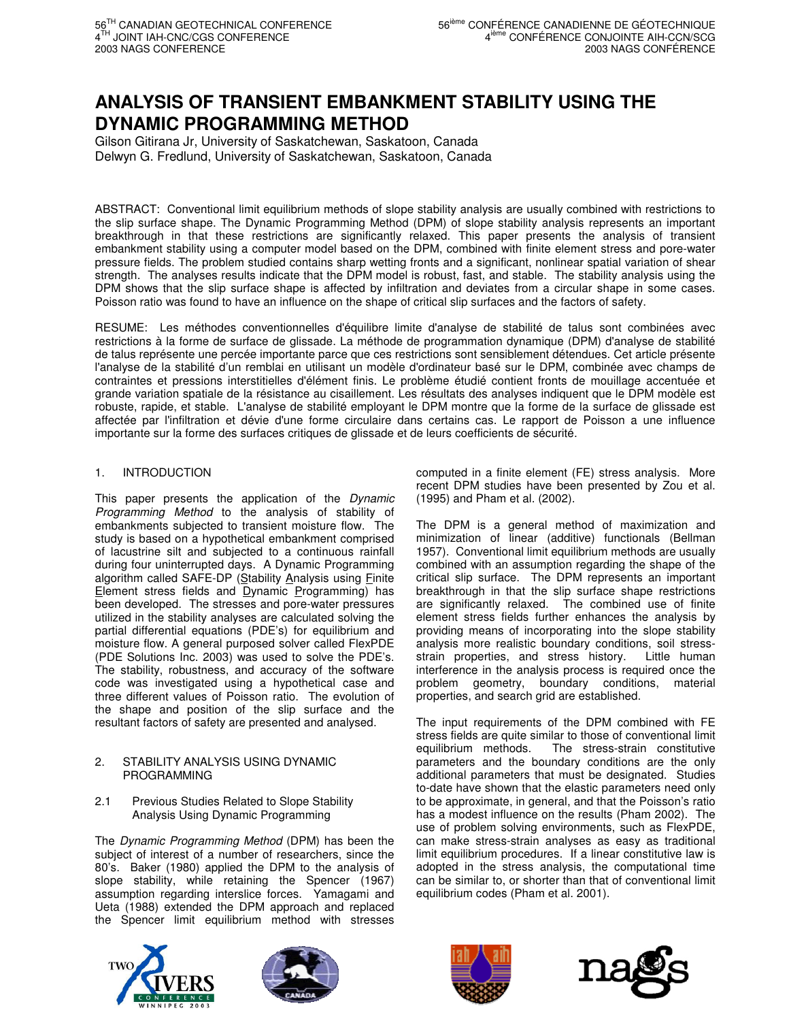# **ANALYSIS OF TRANSIENT EMBANKMENT STABILITY USING THE DYNAMIC PROGRAMMING METHOD**

Gilson Gitirana Jr, University of Saskatchewan, Saskatoon, Canada Delwyn G. Fredlund, University of Saskatchewan, Saskatoon, Canada

ABSTRACT: Conventional limit equilibrium methods of slope stability analysis are usually combined with restrictions to the slip surface shape. The Dynamic Programming Method (DPM) of slope stability analysis represents an important breakthrough in that these restrictions are significantly relaxed. This paper presents the analysis of transient embankment stability using a computer model based on the DPM, combined with finite element stress and pore-water pressure fields. The problem studied contains sharp wetting fronts and a significant, nonlinear spatial variation of shear strength. The analyses results indicate that the DPM model is robust, fast, and stable. The stability analysis using the DPM shows that the slip surface shape is affected by infiltration and deviates from a circular shape in some cases. Poisson ratio was found to have an influence on the shape of critical slip surfaces and the factors of safety.

RESUME: Les méthodes conventionnelles d'équilibre limite d'analyse de stabilité de talus sont combinées avec restrictions à la forme de surface de glissade. La méthode de programmation dynamique (DPM) d'analyse de stabilité de talus représente une percée importante parce que ces restrictions sont sensiblement détendues. Cet article présente l'analyse de la stabilité d'un remblai en utilisant un modèle d'ordinateur basé sur le DPM, combinée avec champs de contraintes et pressions interstitielles d'élément finis. Le problème étudié contient fronts de mouillage accentuée et grande variation spatiale de la résistance au cisaillement. Les résultats des analyses indiquent que le DPM modèle est robuste, rapide, et stable. L'analyse de stabilité employant le DPM montre que la forme de la surface de glissade est affectée par l'infiltration et dévie d'une forme circulaire dans certains cas. Le rapport de Poisson a une influence importante sur la forme des surfaces critiques de glissade et de leurs coefficients de sécurité.

# 1. INTRODUCTION

This paper presents the application of the *Dynamic Programming Method* to the analysis of stability of embankments subjected to transient moisture flow. The study is based on a hypothetical embankment comprised of lacustrine silt and subjected to a continuous rainfall during four uninterrupted days. A Dynamic Programming algorithm called SAFE-DP (Stability Analysis using Finite Element stress fields and Dynamic Programming) has been developed. The stresses and pore-water pressures utilized in the stability analyses are calculated solving the partial differential equations (PDE's) for equilibrium and moisture flow. A general purposed solver called FlexPDE (PDE Solutions Inc. 2003) was used to solve the PDE's. The stability, robustness, and accuracy of the software code was investigated using a hypothetical case and three different values of Poisson ratio. The evolution of the shape and position of the slip surface and the resultant factors of safety are presented and analysed.

### 2. STABILITY ANALYSIS USING DYNAMIC PROGRAMMING

# 2.1 Previous Studies Related to Slope Stability Analysis Using Dynamic Programming

The *Dynamic Programming Method* (DPM) has been the subject of interest of a number of researchers, since the 80's. Baker (1980) applied the DPM to the analysis of slope stability, while retaining the Spencer (1967) assumption regarding interslice forces. Yamagami and Ueta (1988) extended the DPM approach and replaced the Spencer limit equilibrium method with stresses

computed in a finite element (FE) stress analysis. More recent DPM studies have been presented by Zou et al. (1995) and Pham et al. (2002).

The DPM is a general method of maximization and minimization of linear (additive) functionals (Bellman 1957). Conventional limit equilibrium methods are usually combined with an assumption regarding the shape of the critical slip surface. The DPM represents an important breakthrough in that the slip surface shape restrictions are significantly relaxed. The combined use of finite element stress fields further enhances the analysis by providing means of incorporating into the slope stability analysis more realistic boundary conditions, soil stressstrain properties, and stress history. Little human interference in the analysis process is required once the problem geometry, boundary conditions, material properties, and search grid are established.

The input requirements of the DPM combined with FE stress fields are quite similar to those of conventional limit equilibrium methods. The stress-strain constitutive parameters and the boundary conditions are the only additional parameters that must be designated. Studies to-date have shown that the elastic parameters need only to be approximate, in general, and that the Poisson's ratio has a modest influence on the results (Pham 2002). The use of problem solving environments, such as FlexPDE, can make stress-strain analyses as easy as traditional limit equilibrium procedures. If a linear constitutive law is adopted in the stress analysis, the computational time can be similar to, or shorter than that of conventional limit equilibrium codes (Pham et al. 2001).







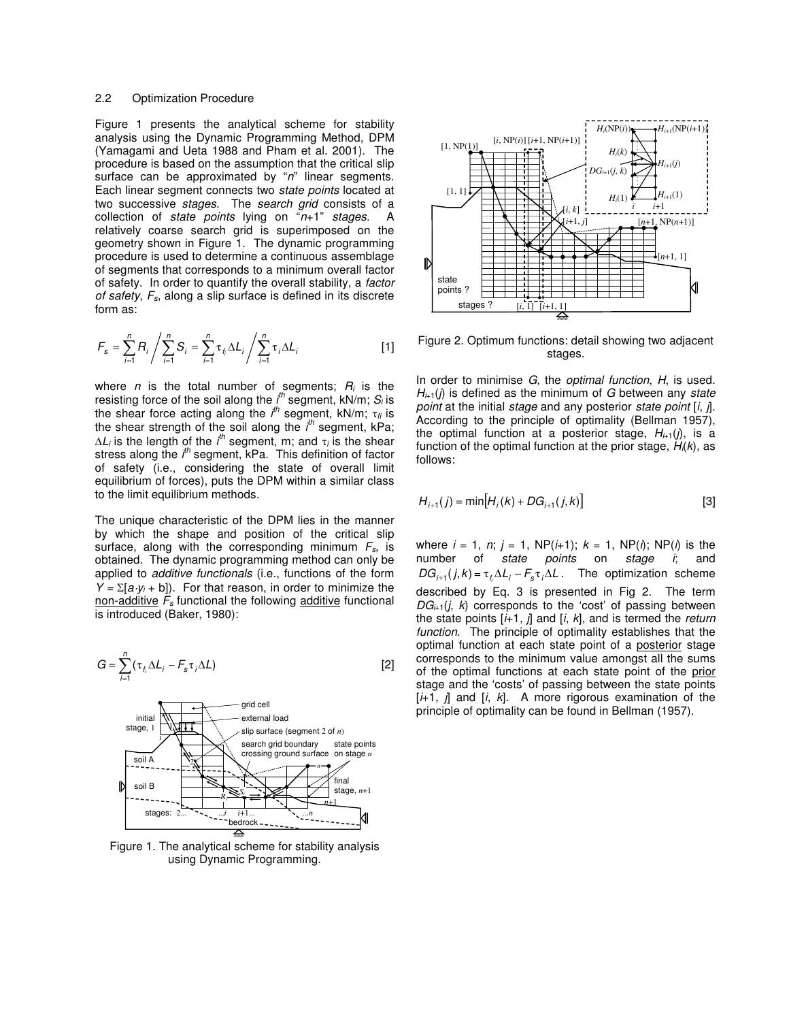#### 2.2 Optimization Procedure

Figure 1 presents the analytical scheme for stability analysis using the Dynamic Programming Method, DPM (Yamagami and Ueta 1988 and Pham et al. 2001). The procedure is based on the assumption that the critical slip surface can be approximated by "*n*" linear segments. Each linear segment connects two *state points* located at two successive *stages*. The *search grid* consists of a collection of *state points* lying on "*n*+1" *stages*. A relatively coarse search grid is superimposed on the geometry shown in Figure 1. The dynamic programming procedure is used to determine a continuous assemblage of segments that corresponds to a minimum overall factor of safety. In order to quantify the overall stability, a *factor of safety*, *Fs*, along a slip surface is defined in its discrete form as:

$$
F_s = \sum_{i=1}^{n} R_i / \sum_{i=1}^{n} S_i = \sum_{i=1}^{n} \tau_i \Delta L_i / \sum_{i=1}^{n} \tau_i \Delta L_i
$$
 [1]

where *n* is the total number of segments; *R<sup>i</sup>* is the resisting force of the soil along the *i th* segment, kN/m; *S<sup>i</sup>* is the shear force acting along the *i th* segment, kN/m; t*fi* is the shear strength of the soil along the *i th* segment, kPa;  $\Delta L_i$  is the length of the *i<sup>th</sup>* segment, m; and  $\tau_i$  is the shear stress along the *i<sup>th</sup>* segment, kPa. This definition of factor of safety (i.e., considering the state of overall limit equilibrium of forces), puts the DPM within a similar class to the limit equilibrium methods.

The unique characteristic of the DPM lies in the manner by which the shape and position of the critical slip surface, along with the corresponding minimum *Fs*, is obtained. The dynamic programming method can only be applied to *additive functionals* (i.e., functions of the form  $Y = \sum [a \cdot y_i + b]$ . For that reason, in order to minimize the non-additive  $F_s$  functional the following additive functional is introduced (Baker, 1980):

$$
G = \sum_{i=1}^{n} (\tau_{f_i} \Delta L_i - F_s \tau_i \Delta L)
$$
 [2]



Figure 1. The analytical scheme for stability analysis using Dynamic Programming.



Figure 2. Optimum functions: detail showing two adjacent stages.

In order to minimise *G*, the *optimal function*, *H*, is used. *H<sup>i</sup>*+1(*j*) is defined as the minimum of *G* between any *state point* at the initial *stage* and any posterior *state point* [*i*, *j*]. According to the principle of optimality (Bellman 1957), the optimal function at a posterior stage,  $H_{i+1}(j)$ , is a function of the optimal function at the prior stage, *Hi*(*k*), as follows:

$$
H_{i+1}(j) = \min[H_i(k) + DG_{i+1}(j,k)]
$$
 [3]

where  $i = 1, n; j = 1, NP(i+1); k = 1, NP(i); NP(i)$  is the number of *state points* on *stage i*; and  $DG_{i+1}(j, k) = \tau_{f_i} \Delta L_i - F_s \tau_i \Delta L$ . The optimization scheme described by Eq. 3 is presented in Fig 2. The term  $DG_{i+1}(i, k)$  corresponds to the 'cost' of passing between the state points [*i*+1, *j*] and [*i*, *k*], and is termed the *return function*. The principle of optimality establishes that the optimal function at each state point of a posterior stage corresponds to the minimum value amongst all the sums of the optimal functions at each state point of the prior stage and the 'costs' of passing between the state points [*i*+1, *j*] and [*i*, *k*]. A more rigorous examination of the principle of optimality can be found in Bellman (1957).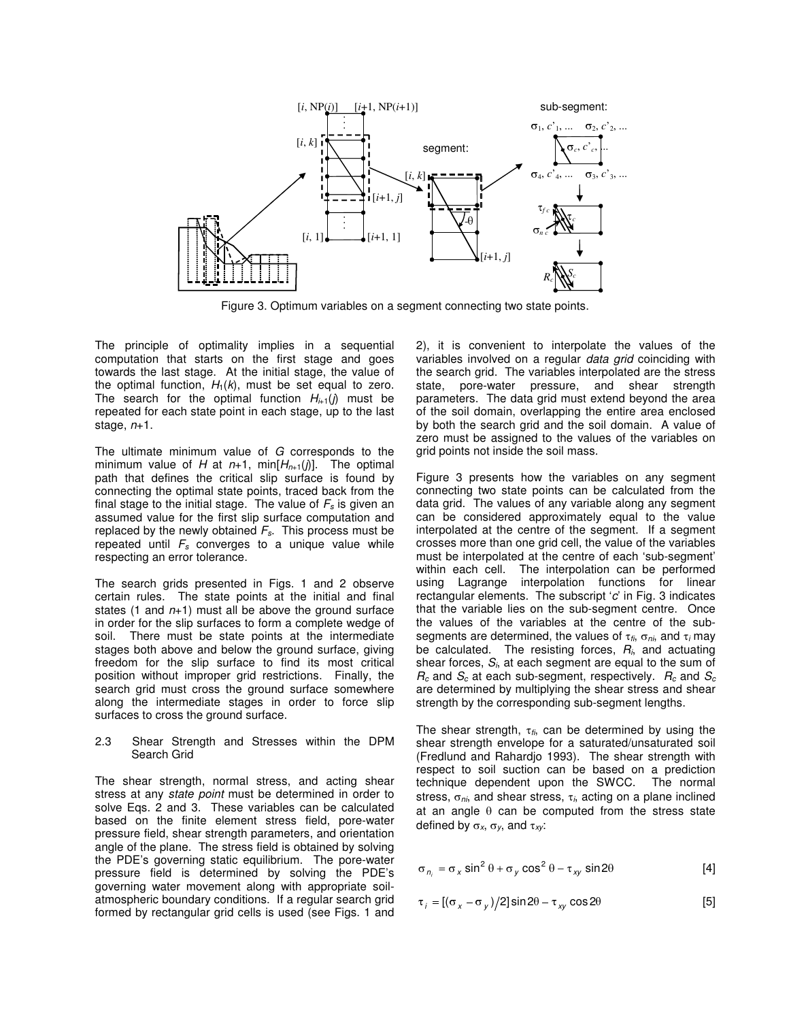

Figure 3. Optimum variables on a segment connecting two state points.

The principle of optimality implies in a sequential computation that starts on the first stage and goes towards the last stage. At the initial stage, the value of the optimal function,  $H_1(k)$ , must be set equal to zero. The search for the optimal function  $H_{i+1}(j)$  must be repeated for each state point in each stage, up to the last stage, *n*+1.

The ultimate minimum value of *G* corresponds to the minimum value of *H* at  $n+1$ , min $[H_{n+1}(j)]$ . The optimal path that defines the critical slip surface is found by connecting the optimal state points, traced back from the final stage to the initial stage. The value of *F<sup>s</sup>* is given an assumed value for the first slip surface computation and replaced by the newly obtained *Fs*. This process must be repeated until *F<sup>s</sup>* converges to a unique value while respecting an error tolerance.

The search grids presented in Figs. 1 and 2 observe certain rules. The state points at the initial and final states (1 and *n*+1) must all be above the ground surface in order for the slip surfaces to form a complete wedge of soil. There must be state points at the intermediate stages both above and below the ground surface, giving freedom for the slip surface to find its most critical position without improper grid restrictions. Finally, the search grid must cross the ground surface somewhere along the intermediate stages in order to force slip surfaces to cross the ground surface.

#### 2.3 Shear Strength and Stresses within the DPM Search Grid

The shear strength, normal stress, and acting shear stress at any *state point* must be determined in order to solve Eqs. 2 and 3. These variables can be calculated based on the finite element stress field, pore-water pressure field, shear strength parameters, and orientation angle of the plane. The stress field is obtained by solving the PDE's governing static equilibrium. The pore-water pressure field is determined by solving the PDE's governing water movement along with appropriate soilatmospheric boundary conditions. If a regular search grid formed by rectangular grid cells is used (see Figs. 1 and 2), it is convenient to interpolate the values of the variables involved on a regular *data grid* coinciding with the search grid. The variables interpolated are the stress state, pore-water pressure, and shear strength parameters. The data grid must extend beyond the area of the soil domain, overlapping the entire area enclosed by both the search grid and the soil domain. A value of zero must be assigned to the values of the variables on grid points not inside the soil mass.

Figure 3 presents how the variables on any segment connecting two state points can be calculated from the data grid. The values of any variable along any segment can be considered approximately equal to the value interpolated at the centre of the segment. If a segment crosses more than one grid cell, the value of the variables must be interpolated at the centre of each 'sub-segment' within each cell. The interpolation can be performed using Lagrange interpolation functions for linear rectangular elements. The subscript '*c*' in Fig. 3 indicates that the variable lies on the sub-segment centre. Once the values of the variables at the centre of the subsegments are determined, the values of  $\tau_{fi}$ ,  $\sigma_{ni}$ , and  $\tau_i$  may be calculated. The resisting forces, *Ri*, and actuating shear forces, *Si*, at each segment are equal to the sum of  $R_c$  and  $S_c$  at each sub-segment, respectively.  $R_c$  and  $S_c$ are determined by multiplying the shear stress and shear strength by the corresponding sub-segment lengths.

The shear strength,  $\tau_{\text{f}i}$ , can be determined by using the shear strength envelope for a saturated/unsaturated soil (Fredlund and Rahardjo 1993). The shear strength with respect to soil suction can be based on a prediction technique dependent upon the SWCC. The normal stress,  $\sigma_{nk}$  and shear stress,  $\tau_{ik}$  acting on a plane inclined at an angle  $\theta$  can be computed from the stress state defined by  $\sigma_x$ ,  $\sigma_y$ , and  $\tau_{xy}$ :

$$
\sigma_{n_i} = \sigma_x \sin^2 \theta + \sigma_y \cos^2 \theta - \tau_{xy} \sin 2\theta
$$
 [4]

$$
\tau_i = [(\sigma_x - \sigma_y)/2] \sin 2\theta - \tau_{xy} \cos 2\theta \tag{5}
$$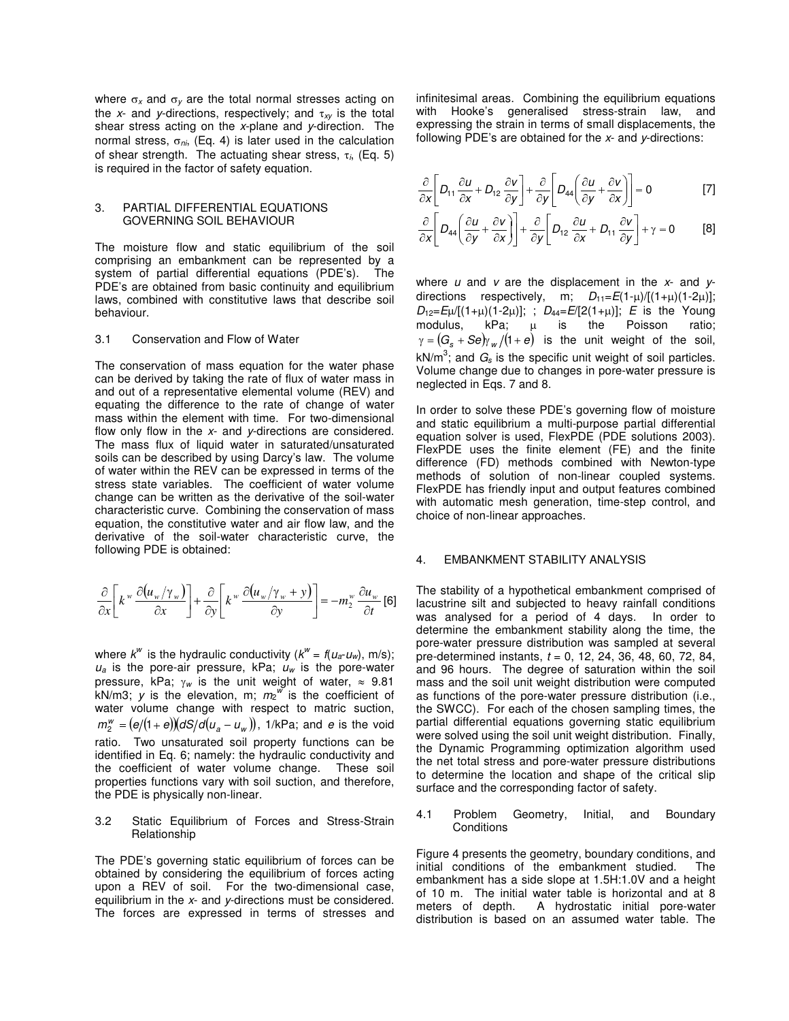where  $\sigma_x$  and  $\sigma_y$  are the total normal stresses acting on the  $x$ - and  $y$ -directions, respectively; and  $\tau_{xy}$  is the total shear stress acting on the *x*-plane and *y*-direction. The normal stress,  $\sigma_{ni}$ , (Eq. 4) is later used in the calculation of shear strength. The actuating shear stress,  $\tau_i$ , (Eq. 5) is required in the factor of safety equation.

#### 3. PARTIAL DIFFERENTIAL EQUATIONS GOVERNING SOIL BEHAVIOUR

The moisture flow and static equilibrium of the soil comprising an embankment can be represented by a system of partial differential equations (PDE's). The PDE's are obtained from basic continuity and equilibrium laws, combined with constitutive laws that describe soil behaviour.

#### 3.1 Conservation and Flow of Water

The conservation of mass equation for the water phase can be derived by taking the rate of flux of water mass in and out of a representative elemental volume (REV) and equating the difference to the rate of change of water mass within the element with time. For two-dimensional flow only flow in the *x*- and *y*-directions are considered. The mass flux of liquid water in saturated/unsaturated soils can be described by using Darcy's law. The volume of water within the REV can be expressed in terms of the stress state variables. The coefficient of water volume change can be written as the derivative of the soil-water characteristic curve. Combining the conservation of mass equation, the constitutive water and air flow law, and the derivative of the soil-water characteristic curve, the following PDE is obtained:

$$
\frac{\partial}{\partial x}\left[k^w \frac{\partial (u_w/\gamma_w)}{\partial x}\right] + \frac{\partial}{\partial y}\left[k^w \frac{\partial (u_w/\gamma_w + y)}{\partial y}\right] = -m_2^w \frac{\partial u_w}{\partial t} \text{ [6]}
$$

where  $k^w$  is the hydraulic conductivity  $(k^w = f(u_a - u_w), m/s);$  $u_a$  is the pore-air pressure, kPa;  $u_w$  is the pore-water pressure, kPa;  $\gamma_w$  is the unit weight of water,  $\approx 9.81$ kN/m3; *y* is the elevation, m; *m*<sup>2</sup> *w* is the coefficient of water volume change with respect to matric suction,  $m_2^w = (e/(1+e))(dS/d(u_a - u_w)),$  1/kPa; and *e* is the void ratio. Two unsaturated soil property functions can be identified in Eq. 6; namely: the hydraulic conductivity and the coefficient of water volume change. These soil properties functions vary with soil suction, and therefore, the PDE is physically non-linear.

#### 3.2 Static Equilibrium of Forces and Stress-Strain Relationship

The PDE's governing static equilibrium of forces can be obtained by considering the equilibrium of forces acting upon a REV of soil. For the two-dimensional case, equilibrium in the *x*- and *y*-directions must be considered. The forces are expressed in terms of stresses and infinitesimal areas. Combining the equilibrium equations with Hooke's generalised stress-strain law, and expressing the strain in terms of small displacements, the following PDE's are obtained for the *x*- and *y*-directions:

$$
\frac{\partial}{\partial x}\left[D_{11}\frac{\partial u}{\partial x}+D_{12}\frac{\partial v}{\partial y}\right]+\frac{\partial}{\partial y}\left[D_{44}\left(\frac{\partial u}{\partial y}+\frac{\partial v}{\partial x}\right)\right]=0
$$
 [7]

$$
\frac{\partial}{\partial x}\left[D_{44}\left(\frac{\partial u}{\partial y}+\frac{\partial v}{\partial x}\right)\right]+\frac{\partial}{\partial y}\left[D_{12}\,\frac{\partial u}{\partial x}+D_{11}\,\frac{\partial v}{\partial y}\right]+\gamma=0 \hspace{1cm} [8]
$$

where *u* and *v* are the displacement in the *x*- and *y*directions respectively, m;  $D_{11} = E(1-\mu)/[(1+\mu)(1-2\mu)]$ ;  $D_{12} = E\mu/[(1+\mu)(1-2\mu)];$  ;  $D_{44} = E/[2(1+\mu)];$  *E* is the Young modulus,  $kPa$ ;  $\mu$  is the Poisson ratio;  $\gamma = (G_s + Se) \gamma_w/(1+e)$  is the unit weight of the soil,  $kN/m^3$ ; and  $G_s$  is the specific unit weight of soil particles. Volume change due to changes in pore-water pressure is neglected in Eqs. 7 and 8.

In order to solve these PDE's governing flow of moisture and static equilibrium a multi-purpose partial differential equation solver is used, FlexPDE (PDE solutions 2003). FlexPDE uses the finite element (FE) and the finite difference (FD) methods combined with Newton-type methods of solution of non-linear coupled systems. FlexPDE has friendly input and output features combined with automatic mesh generation, time-step control, and choice of non-linear approaches.

#### 4. EMBANKMENT STABILITY ANALYSIS

The stability of a hypothetical embankment comprised of lacustrine silt and subjected to heavy rainfall conditions was analysed for a period of 4 days. In order to determine the embankment stability along the time, the pore-water pressure distribution was sampled at several pre-determined instants, *t* = 0, 12, 24, 36, 48, 60, 72, 84, and 96 hours. The degree of saturation within the soil mass and the soil unit weight distribution were computed as functions of the pore-water pressure distribution (i.e., the SWCC). For each of the chosen sampling times, the partial differential equations governing static equilibrium were solved using the soil unit weight distribution. Finally, the Dynamic Programming optimization algorithm used the net total stress and pore-water pressure distributions to determine the location and shape of the critical slip surface and the corresponding factor of safety.

4.1 Problem Geometry, Initial, and Boundary **Conditions** 

Figure 4 presents the geometry, boundary conditions, and initial conditions of the embankment studied. The embankment has a side slope at 1.5H:1.0V and a height of 10 m. The initial water table is horizontal and at 8 meters of depth. A hydrostatic initial pore-water A hydrostatic initial pore-water distribution is based on an assumed water table. The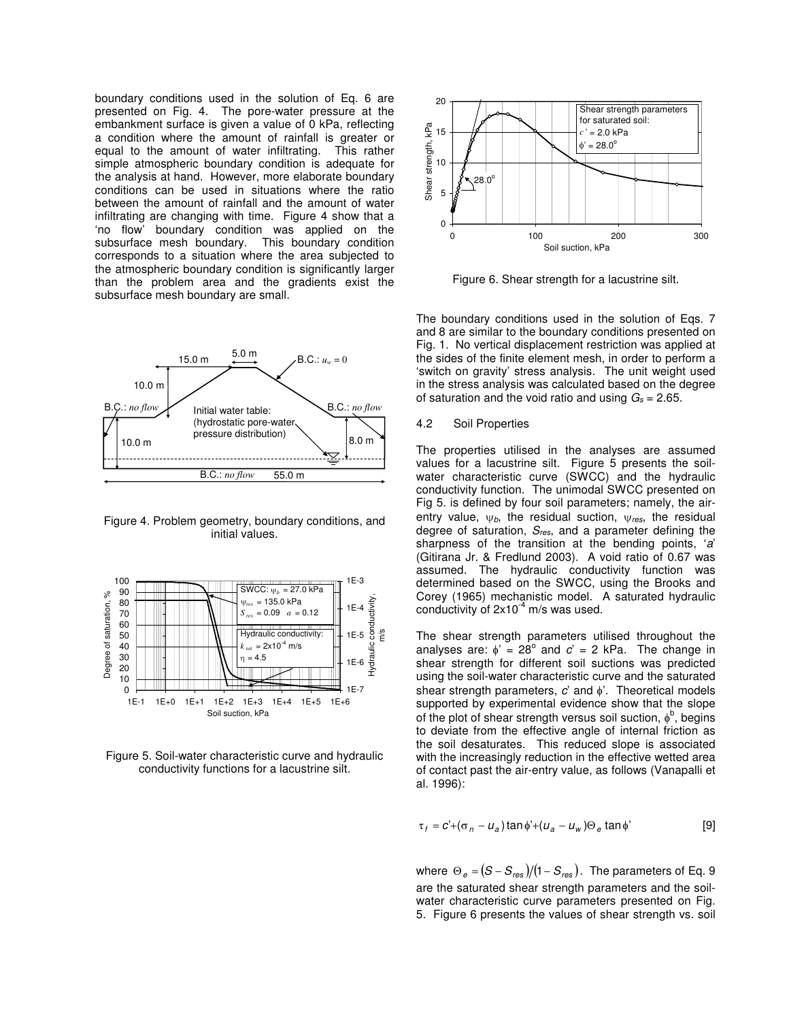boundary conditions used in the solution of Eq. 6 are presented on Fig. 4. The pore-water pressure at the embankment surface is given a value of 0 kPa, reflecting a condition where the amount of rainfall is greater or equal to the amount of water infiltrating. This rather simple atmospheric boundary condition is adequate for the analysis at hand. However, more elaborate boundary conditions can be used in situations where the ratio between the amount of rainfall and the amount of water infiltrating are changing with time. Figure 4 show that a 'no flow' boundary condition was applied on the subsurface mesh boundary. This boundary condition corresponds to a situation where the area subjected to the atmospheric boundary condition is significantly larger than the problem area and the gradients exist the subsurface mesh boundary are small.



Figure 4. Problem geometry, boundary conditions, and initial values.



Figure 5. Soil-water characteristic curve and hydraulic conductivity functions for a lacustrine silt.



Figure 6. Shear strength for a lacustrine silt.

The boundary conditions used in the solution of Eqs. 7 and 8 are similar to the boundary conditions presented on Fig. 1. No vertical displacement restriction was applied at the sides of the finite element mesh, in order to perform a 'switch on gravity' stress analysis. The unit weight used in the stress analysis was calculated based on the degree of saturation and the void ratio and using  $G_s = 2.65$ .

# 4.2 Soil Properties

The properties utilised in the analyses are assumed values for a lacustrine silt. Figure 5 presents the soilwater characteristic curve (SWCC) and the hydraulic conductivity function. The unimodal SWCC presented on Fig 5. is defined by four soil parameters; namely, the airentry value,  $\psi_b$ , the residual suction,  $\psi_{res}$ , the residual degree of saturation, *Sres*, and a parameter defining the sharpness of the transition at the bending points, '*a*' (Gitirana Jr. & Fredlund 2003). A void ratio of 0.67 was assumed. The hydraulic conductivity function was determined based on the SWCC, using the Brooks and Corey (1965) mechanistic model. A saturated hydraulic conductivity of  $2x10^{-4}$  m/s was used.

The shear strength parameters utilised throughout the analyses are:  $\phi' = 28^{\circ}$  and  $c' = 2$  kPa. The change in shear strength for different soil suctions was predicted using the soil-water characteristic curve and the saturated shear strength parameters, *c*' and  $\phi$ '. Theoretical models supported by experimental evidence show that the slope of the plot of shear strength versus soil suction,  $\phi^b$ , begins to deviate from the effective angle of internal friction as the soil desaturates. This reduced slope is associated with the increasingly reduction in the effective wetted area of contact past the air-entry value, as follows (Vanapalli et al. 1996):

$$
\tau_f = c' + (\sigma_n - u_a) \tan \phi' + (u_a - u_w) \Theta_e \tan \phi'
$$
 [9]

where  $\Theta_{\it e}$  = (S –  $S_{\it res}$ )/(1 –  $S_{\it res}$  ). The parameters of Eq. 9 are the saturated shear strength parameters and the soilwater characteristic curve parameters presented on Fig. 5. Figure 6 presents the values of shear strength vs. soil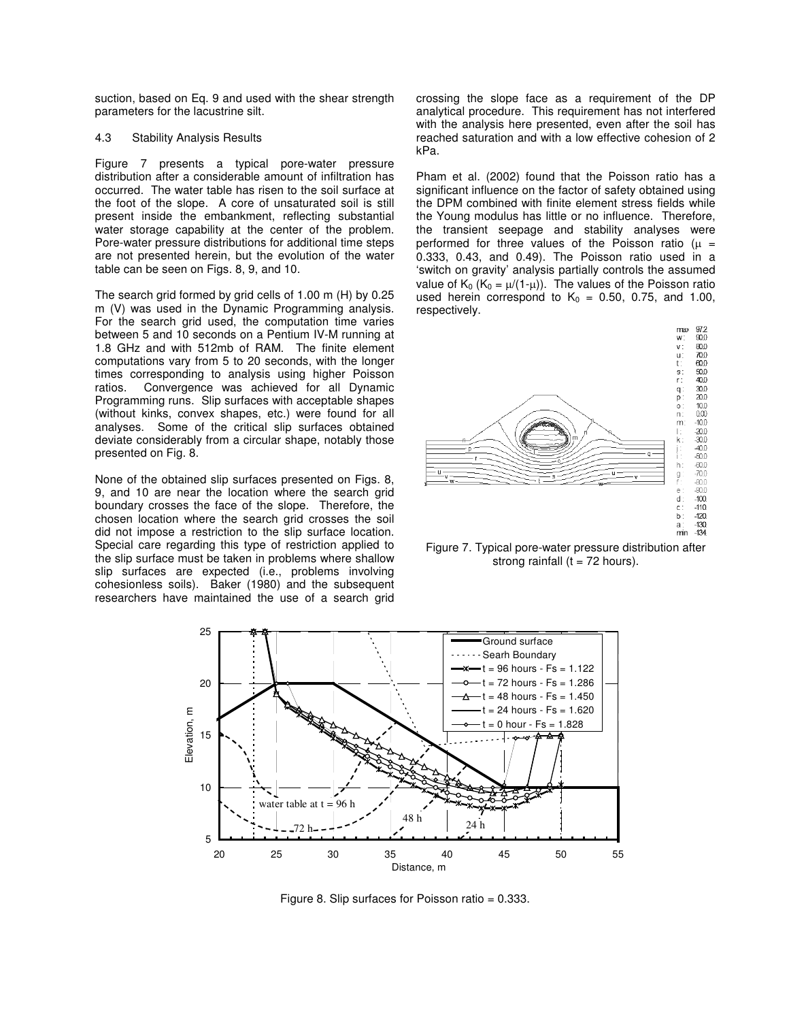suction, based on Eq. 9 and used with the shear strength parameters for the lacustrine silt.

#### 4.3 Stability Analysis Results

Figure 7 presents a typical pore-water pressure distribution after a considerable amount of infiltration has occurred. The water table has risen to the soil surface at the foot of the slope. A core of unsaturated soil is still present inside the embankment, reflecting substantial water storage capability at the center of the problem. Pore-water pressure distributions for additional time steps are not presented herein, but the evolution of the water table can be seen on Figs. 8, 9, and 10.

The search grid formed by grid cells of 1.00 m (H) by 0.25 m (V) was used in the Dynamic Programming analysis. For the search grid used, the computation time varies between 5 and 10 seconds on a Pentium IV-M running at 1.8 GHz and with 512mb of RAM. The finite element computations vary from 5 to 20 seconds, with the longer times corresponding to analysis using higher Poisson ratios. Convergence was achieved for all Dynamic Programming runs. Slip surfaces with acceptable shapes (without kinks, convex shapes, etc.) were found for all analyses. Some of the critical slip surfaces obtained deviate considerably from a circular shape, notably those presented on Fig. 8.

None of the obtained slip surfaces presented on Figs. 8, 9, and 10 are near the location where the search grid boundary crosses the face of the slope. Therefore, the chosen location where the search grid crosses the soil did not impose a restriction to the slip surface location. Special care regarding this type of restriction applied to the slip surface must be taken in problems where shallow slip surfaces are expected (i.e., problems involving cohesionless soils). Baker (1980) and the subsequent researchers have maintained the use of a search grid

crossing the slope face as a requirement of the DP analytical procedure. This requirement has not interfered with the analysis here presented, even after the soil has reached saturation and with a low effective cohesion of 2 kPa.

Pham et al. (2002) found that the Poisson ratio has a significant influence on the factor of safety obtained using the DPM combined with finite element stress fields while the Young modulus has little or no influence. Therefore, the transient seepage and stability analyses were performed for three values of the Poisson ratio ( $\mu$  = 0.333, 0.43, and 0.49). The Poisson ratio used in a 'switch on gravity' analysis partially controls the assumed value of  $K_0$  ( $K_0 = \mu/(1-\mu)$ ). The values of the Poisson ratio used herein correspond to  $K_0 = 0.50$ , 0.75, and 1.00, respectively.



Figure 7. Typical pore-water pressure distribution after strong rainfall ( $t = 72$  hours).



Figure 8. Slip surfaces for Poisson ratio = 0.333.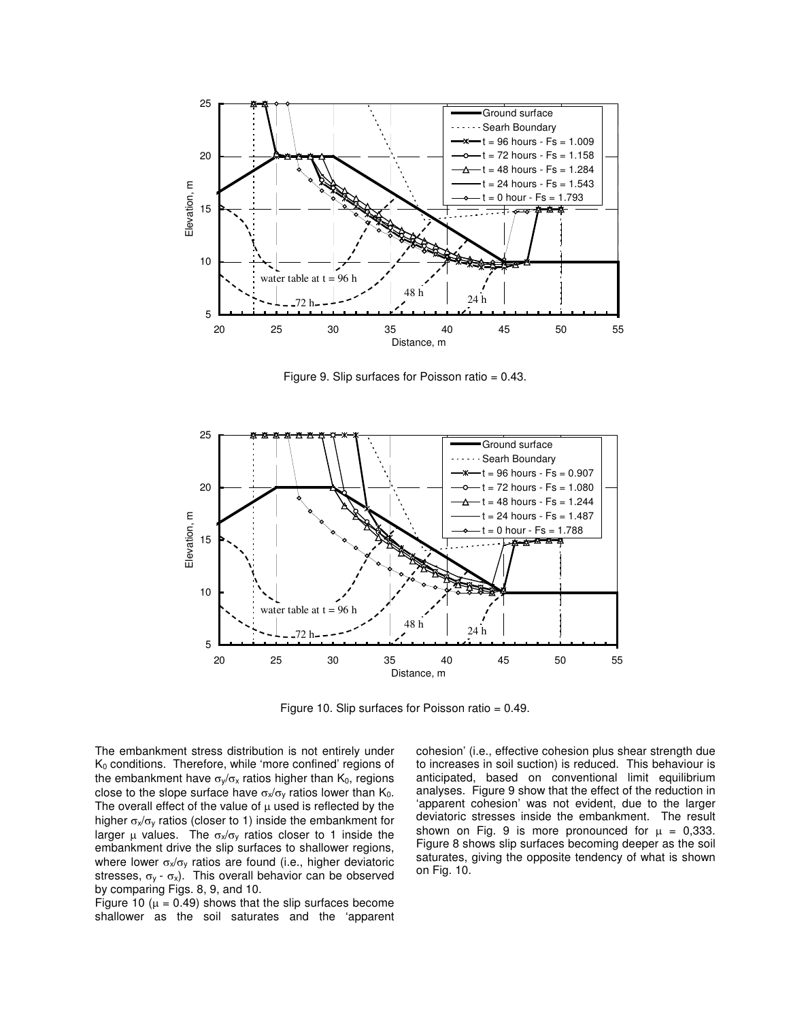

Figure 9. Slip surfaces for Poisson ratio  $= 0.43$ .



Figure 10. Slip surfaces for Poisson ratio = 0.49.

The embankment stress distribution is not entirely under  $K_0$  conditions. Therefore, while 'more confined' regions of the embankment have  $\sigma_{\nu}/\sigma_{\nu}$  ratios higher than K<sub>0</sub>, regions close to the slope surface have  $\sigma_x/\sigma_y$  ratios lower than  $K_0$ . The overall effect of the value of  $\mu$  used is reflected by the higher  $\sigma_x/\sigma_y$  ratios (closer to 1) inside the embankment for larger  $\mu$  values. The  $\sigma_x/\sigma_y$  ratios closer to 1 inside the embankment drive the slip surfaces to shallower regions, where lower  $\sigma_{x}/\sigma_{y}$  ratios are found (i.e., higher deviatoric stresses,  $\sigma_y - \sigma_x$ ). This overall behavior can be observed by comparing Figs. 8, 9, and 10.

Figure 10 ( $\mu$  = 0.49) shows that the slip surfaces become shallower as the soil saturates and the 'apparent cohesion' (i.e., effective cohesion plus shear strength due to increases in soil suction) is reduced. This behaviour is anticipated, based on conventional limit equilibrium analyses. Figure 9 show that the effect of the reduction in 'apparent cohesion' was not evident, due to the larger deviatoric stresses inside the embankment. The result shown on Fig. 9 is more pronounced for  $\mu = 0.333$ . Figure 8 shows slip surfaces becoming deeper as the soil saturates, giving the opposite tendency of what is shown on Fig. 10.